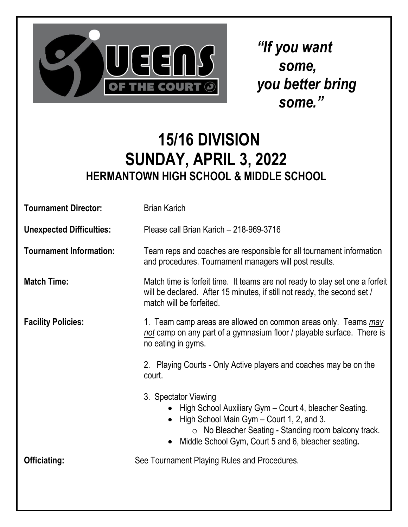

*"If you want some, you better bring some."*

### **15/16 DIVISION SUNDAY, APRIL 3, 2022 HERMANTOWN HIGH SCHOOL & MIDDLE SCHOOL**

| <b>Tournament Director:</b>     | <b>Brian Karich</b>                                                                                                                                                                                                                                     |  |  |
|---------------------------------|---------------------------------------------------------------------------------------------------------------------------------------------------------------------------------------------------------------------------------------------------------|--|--|
| <b>Unexpected Difficulties:</b> | Please call Brian Karich - 218-969-3716                                                                                                                                                                                                                 |  |  |
| <b>Tournament Information:</b>  | Team reps and coaches are responsible for all tournament information<br>and procedures. Tournament managers will post results.                                                                                                                          |  |  |
| <b>Match Time:</b>              | Match time is forfeit time. It teams are not ready to play set one a forfeit<br>will be declared. After 15 minutes, if still not ready, the second set /<br>match will be forfeited.                                                                    |  |  |
| <b>Facility Policies:</b>       | 1. Team camp areas are allowed on common areas only. Teams may<br>not camp on any part of a gymnasium floor / playable surface. There is<br>no eating in gyms.                                                                                          |  |  |
|                                 | 2. Playing Courts - Only Active players and coaches may be on the<br>court.                                                                                                                                                                             |  |  |
|                                 | 3. Spectator Viewing<br>High School Auxiliary Gym – Court 4, bleacher Seating.<br>$\bullet$<br>High School Main Gym – Court 1, 2, and 3.<br>O No Bleacher Seating - Standing room balcony track.<br>Middle School Gym, Court 5 and 6, bleacher seating. |  |  |
| <b>Officiating:</b>             | See Tournament Playing Rules and Procedures.                                                                                                                                                                                                            |  |  |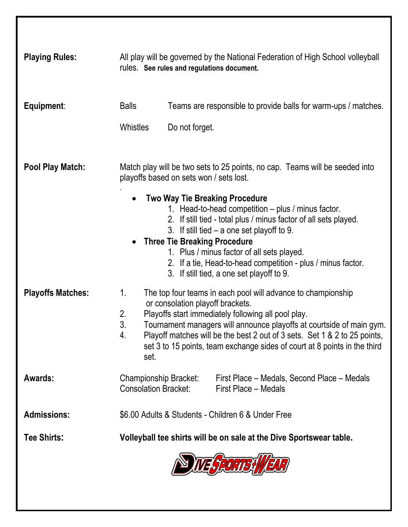| <b>Playing Rules:</b>    | All play will be governed by the National Federation of High School volleyball<br>rules. See rules and regulations document. |                                                                                                                                                                                                                                                                                                                                                                                                                   |  |
|--------------------------|------------------------------------------------------------------------------------------------------------------------------|-------------------------------------------------------------------------------------------------------------------------------------------------------------------------------------------------------------------------------------------------------------------------------------------------------------------------------------------------------------------------------------------------------------------|--|
| Equipment:               | <b>Balls</b><br><b>Whistles</b>                                                                                              | Teams are responsible to provide balls for warm-ups / matches.<br>Do not forget.                                                                                                                                                                                                                                                                                                                                  |  |
| <b>Pool Play Match:</b>  | Match play will be two sets to 25 points, no cap. Teams will be seeded into<br>playoffs based on sets won / sets lost.       |                                                                                                                                                                                                                                                                                                                                                                                                                   |  |
|                          |                                                                                                                              | <b>Two Way Tie Breaking Procedure</b><br>1. Head-to-head competition – plus / minus factor.<br>2. If still tied - total plus / minus factor of all sets played.<br>3. If still tied $-$ a one set playoff to 9.<br><b>Three Tie Breaking Procedure</b><br>1. Plus / minus factor of all sets played.<br>2. If a tie, Head-to-head competition - plus / minus factor.<br>3. If still tied, a one set playoff to 9. |  |
| <b>Playoffs Matches:</b> | 1.<br>2.<br>3.<br>4.<br>set.                                                                                                 | The top four teams in each pool will advance to championship<br>or consolation playoff brackets.<br>Playoffs start immediately following all pool play.<br>Tournament managers will announce playoffs at courtside of main gym.<br>Playoff matches will be the best 2 out of 3 sets. Set 1 & 2 to 25 points,<br>set 3 to 15 points, team exchange sides of court at 8 points in the third                         |  |
| Awards:                  | Championship Bracket:<br><b>Consolation Bracket:</b>                                                                         | First Place – Medals, Second Place – Medals<br>First Place – Medals                                                                                                                                                                                                                                                                                                                                               |  |
| <b>Admissions:</b>       | \$6.00 Adults & Students - Children 6 & Under Free                                                                           |                                                                                                                                                                                                                                                                                                                                                                                                                   |  |
| <b>Tee Shirts:</b>       | Volleyball tee shirts will be on sale at the Dive Sportswear table.                                                          |                                                                                                                                                                                                                                                                                                                                                                                                                   |  |
|                          |                                                                                                                              |                                                                                                                                                                                                                                                                                                                                                                                                                   |  |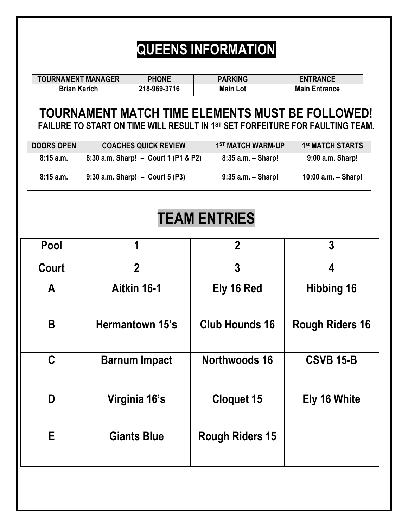## **QUEENS INFORMATION**

| <b>TOURNAMENT MANAGER</b> | <b>PHONE</b> | <b>PARKING</b>  | <b>ENTRANCE</b>      |
|---------------------------|--------------|-----------------|----------------------|
| <b>Brian Karich</b>       | 218-969-3716 | <b>Main Lot</b> | <b>Main Entrance</b> |
|                           |              |                 |                      |

#### **TOURNAMENT MATCH TIME ELEMENTS MUST BE FOLLOWED! FAILURE TO START ON TIME WILL RESULT IN 1ST SET FORFEITURE FOR FAULTING TEAM.**

| <b>DOORS OPEN</b> | <b>COACHES QUICK REVIEW</b>          | 1ST MATCH WARM-UP      | 1 <sup>st</sup> MATCH STARTS |
|-------------------|--------------------------------------|------------------------|------------------------------|
| 8:15a.m.          | 8:30 a.m. Sharp! - Court 1 (P1 & P2) | $8:35$ a.m. $-$ Sharp! | 9:00 a.m. Sharp!             |
| 8:15a.m.          | 9:30 a.m. Sharp! $-$ Court 5 (P3)    | $9:35$ a.m. $-$ Sharp! | 10:00 $a.m. - Sharp!$        |

#### **TEAM ENTRIES**

| Pool  | 1                    | $\mathbf 2$            |                        |
|-------|----------------------|------------------------|------------------------|
| Court | $\overline{2}$       | 3                      | 4                      |
| A     | Aitkin 16-1          | Ely 16 Red             | <b>Hibbing 16</b>      |
| B     | Hermantown 15's      | <b>Club Hounds 16</b>  | <b>Rough Riders 16</b> |
| C     | <b>Barnum Impact</b> | Northwoods 16          | <b>CSVB 15-B</b>       |
| D     | Virginia 16's        | <b>Cloquet 15</b>      | <b>Ely 16 White</b>    |
| E     | <b>Giants Blue</b>   | <b>Rough Riders 15</b> |                        |